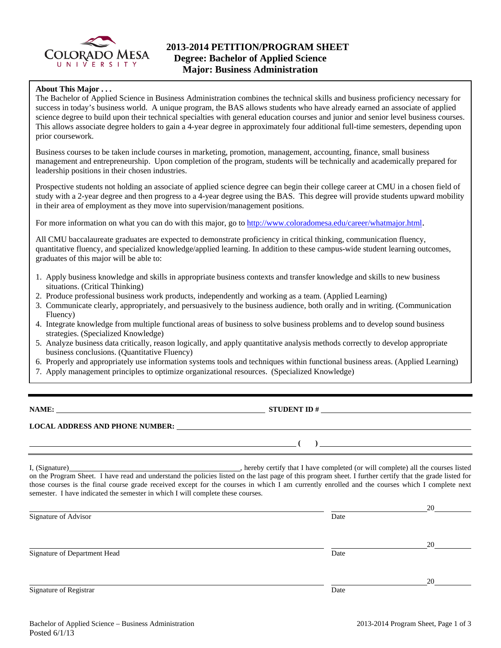

## **About This Major . . .**

The Bachelor of Applied Science in Business Administration combines the technical skills and business proficiency necessary for success in today's business world. A unique program, the BAS allows students who have already earned an associate of applied science degree to build upon their technical specialties with general education courses and junior and senior level business courses. This allows associate degree holders to gain a 4-year degree in approximately four additional full-time semesters, depending upon prior coursework.

Business courses to be taken include courses in marketing, promotion, management, accounting, finance, small business management and entrepreneurship. Upon completion of the program, students will be technically and academically prepared for leadership positions in their chosen industries.

Prospective students not holding an associate of applied science degree can begin their college career at CMU in a chosen field of study with a 2-year degree and then progress to a 4-year degree using the BAS. This degree will provide students upward mobility in their area of employment as they move into supervision/management positions.

For more information on what you can do with this major, go to http://www.coloradomesa.edu/career/whatmajor.html.

All CMU baccalaureate graduates are expected to demonstrate proficiency in critical thinking, communication fluency, quantitative fluency, and specialized knowledge/applied learning. In addition to these campus-wide student learning outcomes, graduates of this major will be able to:

- 1. Apply business knowledge and skills in appropriate business contexts and transfer knowledge and skills to new business situations. (Critical Thinking)
- 2. Produce professional business work products, independently and working as a team. (Applied Learning)
- 3. Communicate clearly, appropriately, and persuasively to the business audience, both orally and in writing. (Communication Fluency)
- 4. Integrate knowledge from multiple functional areas of business to solve business problems and to develop sound business strategies. (Specialized Knowledge)
- 5. Analyze business data critically, reason logically, and apply quantitative analysis methods correctly to develop appropriate business conclusions. (Quantitative Fluency)
- 6. Properly and appropriately use information systems tools and techniques within functional business areas. (Applied Learning)
- 7. Apply management principles to optimize organizational resources. (Specialized Knowledge)

**NAMES IN STUDENT ID #** 

 **( )** 

## **LOCAL ADDRESS AND PHONE NUMBER:**

I, (Signature) , hereby certify that I have completed (or will complete) all the courses listed on the Program Sheet. I have read and understand the policies listed on the last page of this program sheet. I further certify that the grade listed for those courses is the final course grade received except for the courses in which I am currently enrolled and the courses which I complete next semester. I have indicated the semester in which I will complete these courses.

|                              |      | 20 |
|------------------------------|------|----|
| Signature of Advisor         | Date |    |
|                              |      | 20 |
| Signature of Department Head | Date |    |
|                              |      | 20 |
| Signature of Registrar       | Date |    |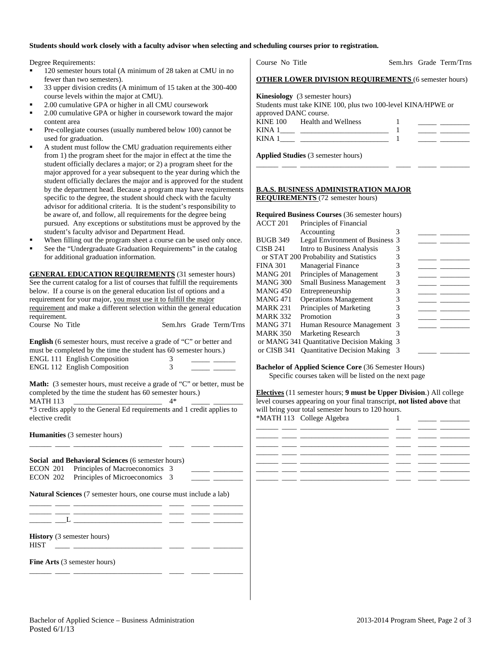## **Students should work closely with a faculty advisor when selecting and scheduling courses prior to registration.**

Degree Requirements:

- 120 semester hours total (A minimum of 28 taken at CMU in no fewer than two semesters).
- 33 upper division credits (A minimum of 15 taken at the 300-400 course levels within the major at CMU).
- 2.00 cumulative GPA or higher in all CMU coursework
- 2.00 cumulative GPA or higher in coursework toward the major content area
- Pre-collegiate courses (usually numbered below 100) cannot be used for graduation.
- A student must follow the CMU graduation requirements either from 1) the program sheet for the major in effect at the time the student officially declares a major; or 2) a program sheet for the major approved for a year subsequent to the year during which the student officially declares the major and is approved for the student by the department head. Because a program may have requirements specific to the degree, the student should check with the faculty advisor for additional criteria. It is the student's responsibility to be aware of, and follow, all requirements for the degree being pursued. Any exceptions or substitutions must be approved by the student's faculty advisor and Department Head.
- When filling out the program sheet a course can be used only once.
- See the "Undergraduate Graduation Requirements" in the catalog for additional graduation information.

**GENERAL EDUCATION REQUIREMENTS** (31 semester hours) See the current catalog for a list of courses that fulfill the requirements below. If a course is on the general education list of options and a requirement for your major, you must use it to fulfill the major requirement and make a different selection within the general education requirement.

| Course No Title | Sem.hrs Grade Term/Trns |  |
|-----------------|-------------------------|--|
|                 |                         |  |

**English** (6 semester hours, must receive a grade of "C" or better and must be completed by the time the student has 60 semester hours.) ENGL 111 English Composition 3 \_\_\_\_\_ \_\_\_\_\_\_ ENGL 112 English Composition 3

**Math:** (3 semester hours, must receive a grade of "C" or better, must be

completed by the time the student has 60 semester hours.) MATH 113 \_\_\_\_\_\_\_\_\_\_\_\_\_\_\_\_\_\_\_\_\_\_\_\_ 4\* \_\_\_\_\_ \_\_\_\_\_\_\_\_

\*3 credits apply to the General Ed requirements and 1 credit applies to elective credit

\_\_\_\_\_\_ \_\_\_\_ \_\_\_\_\_\_\_\_\_\_\_\_\_\_\_\_\_\_\_\_\_\_\_\_ \_\_\_\_ \_\_\_\_\_ \_\_\_\_\_\_\_\_

**Humanities** (3 semester hours)

**Social and Behavioral Sciences** (6 semester hours) ECON 201 Principles of Macroeconomics 3 ECON 202 Principles of Microeconomics 3

**Natural Sciences** (7 semester hours, one course must include a lab)

\_\_\_\_\_\_ \_\_\_\_ \_\_\_\_\_\_\_\_\_\_\_\_\_\_\_\_\_\_\_\_\_\_\_\_ \_\_\_\_ \_\_\_\_\_ \_\_\_\_\_\_\_\_

\_\_\_\_\_\_ \_\_\_\_ \_\_\_\_\_\_\_\_\_\_\_\_\_\_\_\_\_\_\_\_\_\_\_\_ \_\_\_\_ \_\_\_\_\_ \_\_\_\_\_\_\_\_

\_\_\_\_\_\_ \_\_\_\_ \_\_\_\_\_\_\_\_\_\_\_\_\_\_\_\_\_\_\_\_\_\_\_\_ \_\_\_\_ \_\_\_\_\_ \_\_\_\_\_\_\_\_  $\_\_$   $\_\_$ 

**History** (3 semester hours)

 $HIST$   $\_\_$ 

**Fine Arts** (3 semester hours)

| <b>OTHER LOWER DIVISION REQUIREMENTS (6 semester hours)</b>                                                                    |  |
|--------------------------------------------------------------------------------------------------------------------------------|--|
| <b>Kinesiology</b> (3 semester hours)<br>Students must take KINE 100, plus two 100-level KINA/HPWE or<br>approved DANC course. |  |
| KINE 100 Health and Wellness<br>KINA $1 \_$                                                                                    |  |

\_\_\_\_\_\_ \_\_\_\_ \_\_\_\_\_\_\_\_\_\_\_\_\_\_\_\_\_\_\_\_\_\_\_\_ \_\_\_\_ \_\_\_\_\_ \_\_\_\_\_\_\_\_

Course No Title Sem.hrs Grade Term/Trns

**Applied Studies** (3 semester hours)

## **B.A.S. BUSINESS ADMINISTRATION MAJOR REQUIREMENTS** (72 semester hours)

|                 | <b>Required Business Courses</b> (36 semester hours) |   |  |
|-----------------|------------------------------------------------------|---|--|
| ACCT 201        | Principles of Financial                              |   |  |
|                 | Accounting                                           | 3 |  |
| <b>BUGB 349</b> | Legal Environment of Business 3                      |   |  |
| <b>CISB 241</b> | Intro to Business Analysis                           | 3 |  |
|                 | or STAT 200 Probability and Statistics               |   |  |
| <b>FINA 301</b> | <b>Managerial Finance</b>                            | 3 |  |
| MANG 201        | Principles of Management                             | 3 |  |
| <b>MANG 300</b> | <b>Small Business Management</b>                     | 3 |  |
| MANG 450        | Entrepreneurship                                     | 3 |  |
| MANG 471        | <b>Operations Management</b>                         | 3 |  |
| <b>MARK 231</b> | Principles of Marketing                              |   |  |
| <b>MARK 332</b> | Promotion                                            |   |  |
| <b>MANG 371</b> | Human Resource Management                            | 3 |  |
| <b>MARK 350</b> | <b>Marketing Research</b>                            |   |  |
|                 | or MANG 341 Quantitative Decision Making             |   |  |
| or CISB 341     | <b>Quantitative Decision Making</b>                  | 3 |  |

**Bachelor of Applied Science Core** (36 Semester Hours) Specific courses taken will be listed on the next page

**Electives** (11 semester hours; **9 must be Upper Division**.) All college level courses appearing on your final transcript, **not listed above** that will bring your total semester hours to 120 hours. \*MATH 113 College Algebra 1